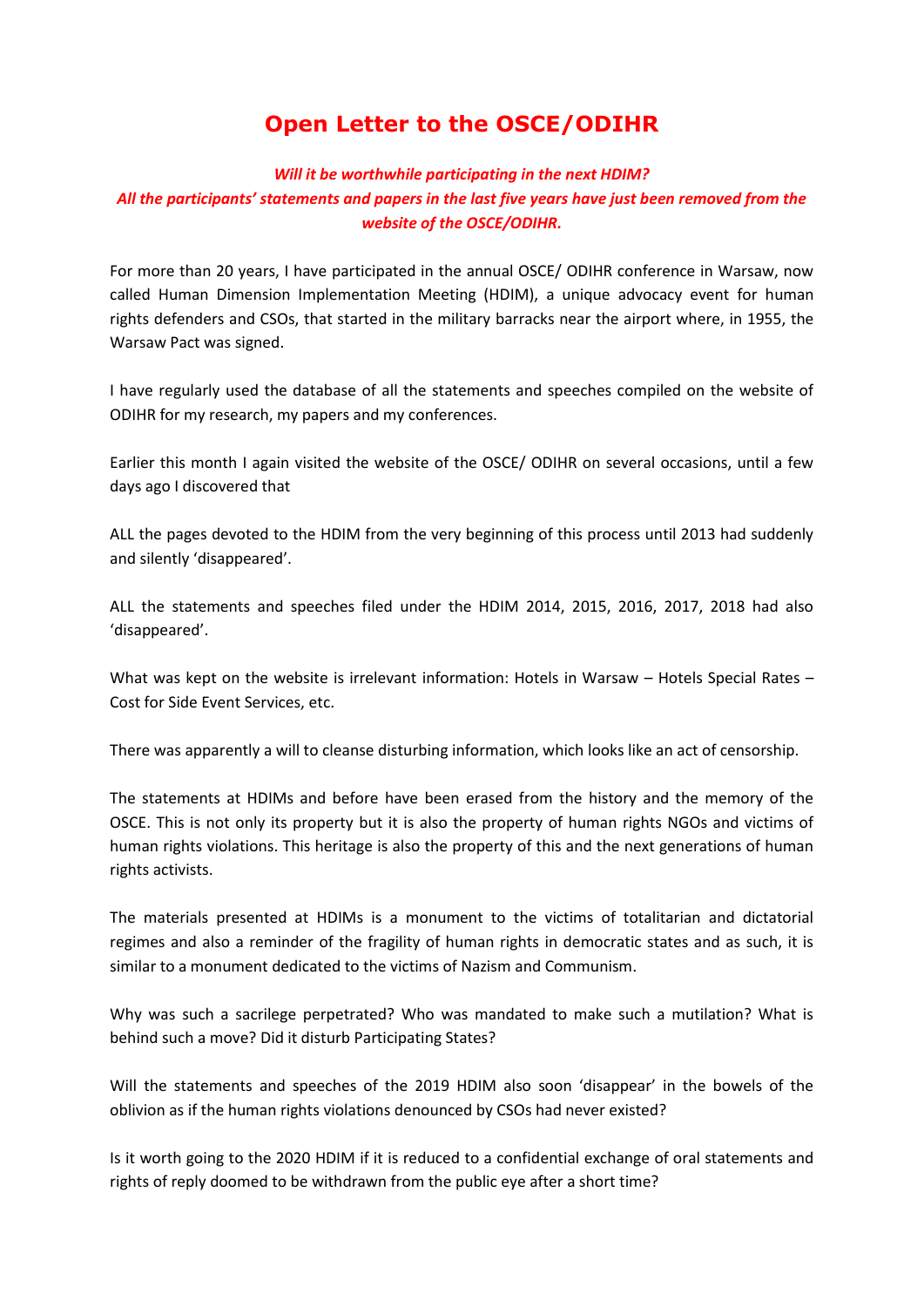## **Open Letter to the OSCE/ODIHR**

## *Will it be worthwhile participating in the next HDIM? All the participants' statements and papers in the last five years have just been removed from the website of the OSCE/ODIHR.*

For more than 20 years, I have participated in the annual OSCE/ ODIHR conference in Warsaw, now called Human Dimension Implementation Meeting (HDIM), a unique advocacy event for human rights defenders and CSOs, that started in the military barracks near the airport where, in 1955, the Warsaw Pact was signed.

I have regularly used the database of all the statements and speeches compiled on the website of ODIHR for my research, my papers and my conferences.

Earlier this month I again visited the website of the OSCE/ ODIHR on several occasions, until a few days ago I discovered that

ALL the pages devoted to the HDIM from the very beginning of this process until 2013 had suddenly and silently 'disappeared'.

ALL the statements and speeches filed under the HDIM 2014, 2015, 2016, 2017, 2018 had also 'disappeared'.

What was kept on the website is irrelevant information: Hotels in Warsaw – Hotels Special Rates – Cost for Side Event Services, etc.

There was apparently a will to cleanse disturbing information, which looks like an act of censorship.

The statements at HDIMs and before have been erased from the history and the memory of the OSCE. This is not only its property but it is also the property of human rights NGOs and victims of human rights violations. This heritage is also the property of this and the next generations of human rights activists.

The materials presented at HDIMs is a monument to the victims of totalitarian and dictatorial regimes and also a reminder of the fragility of human rights in democratic states and as such, it is similar to a monument dedicated to the victims of Nazism and Communism.

Why was such a sacrilege perpetrated? Who was mandated to make such a mutilation? What is behind such a move? Did it disturb Participating States?

Will the statements and speeches of the 2019 HDIM also soon 'disappear' in the bowels of the oblivion as if the human rights violations denounced by CSOs had never existed?

Is it worth going to the 2020 HDIM if it is reduced to a confidential exchange of oral statements and rights of reply doomed to be withdrawn from the public eye after a short time?